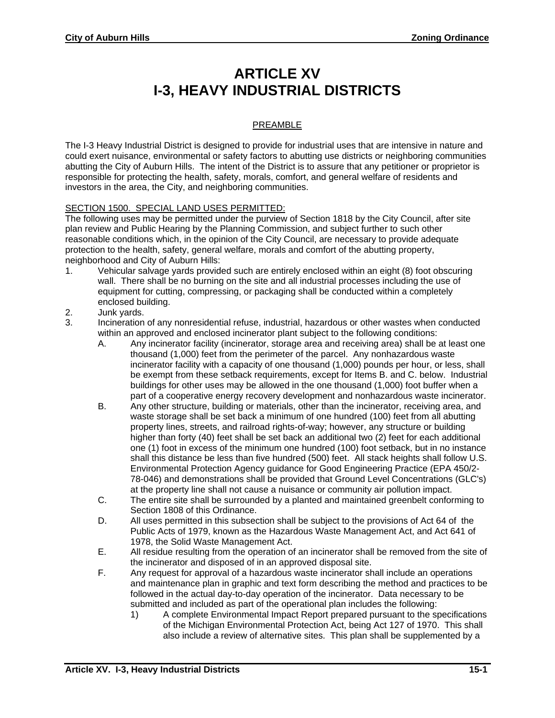## **ARTICLE XV I-3, HEAVY INDUSTRIAL DISTRICTS**

## PREAMBLE

The I-3 Heavy Industrial District is designed to provide for industrial uses that are intensive in nature and could exert nuisance, environmental or safety factors to abutting use districts or neighboring communities abutting the City of Auburn Hills. The intent of the District is to assure that any petitioner or proprietor is responsible for protecting the health, safety, morals, comfort, and general welfare of residents and investors in the area, the City, and neighboring communities.

## SECTION 1500. SPECIAL LAND USES PERMITTED:

The following uses may be permitted under the purview of Section 1818 by the City Council, after site plan review and Public Hearing by the Planning Commission, and subject further to such other reasonable conditions which, in the opinion of the City Council, are necessary to provide adequate protection to the health, safety, general welfare, morals and comfort of the abutting property, neighborhood and City of Auburn Hills:

- 1. Vehicular salvage yards provided such are entirely enclosed within an eight (8) foot obscuring wall. There shall be no burning on the site and all industrial processes including the use of equipment for cutting, compressing, or packaging shall be conducted within a completely enclosed building.
- 2. Junk yards.
- 3. Incineration of any nonresidential refuse, industrial, hazardous or other wastes when conducted within an approved and enclosed incinerator plant subject to the following conditions:
	- A. Any incinerator facility (incinerator, storage area and receiving area) shall be at least one thousand (1,000) feet from the perimeter of the parcel. Any nonhazardous waste incinerator facility with a capacity of one thousand (1,000) pounds per hour, or less, shall be exempt from these setback requirements, except for Items B. and C. below. Industrial buildings for other uses may be allowed in the one thousand (1,000) foot buffer when a part of a cooperative energy recovery development and nonhazardous waste incinerator.
	- B. Any other structure, building or materials, other than the incinerator, receiving area, and waste storage shall be set back a minimum of one hundred (100) feet from all abutting property lines, streets, and railroad rights-of-way; however, any structure or building higher than forty (40) feet shall be set back an additional two (2) feet for each additional one (1) foot in excess of the minimum one hundred (100) foot setback, but in no instance shall this distance be less than five hundred (500) feet. All stack heights shall follow U.S. Environmental Protection Agency guidance for Good Engineering Practice (EPA 450/2- 78-046) and demonstrations shall be provided that Ground Level Concentrations (GLC's) at the property line shall not cause a nuisance or community air pollution impact.
	- C. The entire site shall be surrounded by a planted and maintained greenbelt conforming to Section 1808 of this Ordinance.
	- D. All uses permitted in this subsection shall be subject to the provisions of Act 64 of the Public Acts of 1979, known as the Hazardous Waste Management Act, and Act 641 of 1978, the Solid Waste Management Act.
	- E. All residue resulting from the operation of an incinerator shall be removed from the site of the incinerator and disposed of in an approved disposal site.
	- F. Any request for approval of a hazardous waste incinerator shall include an operations and maintenance plan in graphic and text form describing the method and practices to be followed in the actual day-to-day operation of the incinerator. Data necessary to be submitted and included as part of the operational plan includes the following:
		- 1) A complete Environmental Impact Report prepared pursuant to the specifications of the Michigan Environmental Protection Act, being Act 127 of 1970. This shall also include a review of alternative sites. This plan shall be supplemented by a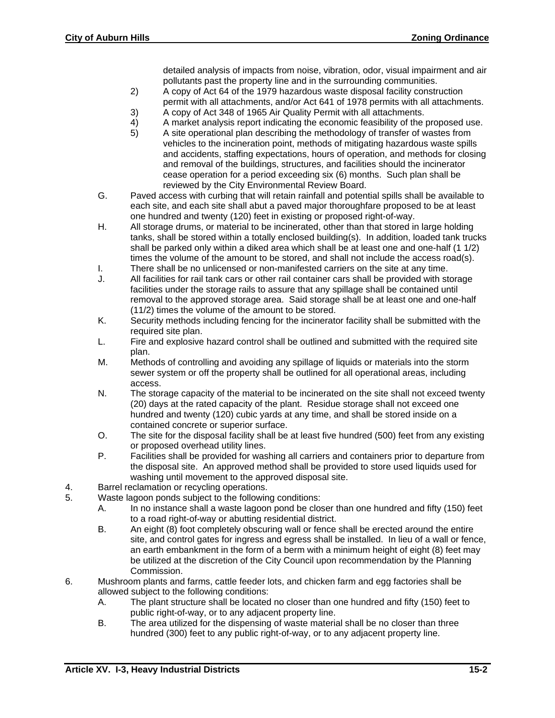detailed analysis of impacts from noise, vibration, odor, visual impairment and air pollutants past the property line and in the surrounding communities.

- 2) A copy of Act 64 of the 1979 hazardous waste disposal facility construction permit with all attachments, and/or Act 641 of 1978 permits with all attachments.
- 3) A copy of Act 348 of 1965 Air Quality Permit with all attachments.
- 4) A market analysis report indicating the economic feasibility of the proposed use.
- 5) A site operational plan describing the methodology of transfer of wastes from vehicles to the incineration point, methods of mitigating hazardous waste spills and accidents, staffing expectations, hours of operation, and methods for closing and removal of the buildings, structures, and facilities should the incinerator cease operation for a period exceeding six (6) months. Such plan shall be reviewed by the City Environmental Review Board.
- G. Paved access with curbing that will retain rainfall and potential spills shall be available to each site, and each site shall abut a paved major thoroughfare proposed to be at least one hundred and twenty (120) feet in existing or proposed right-of-way.
- H. All storage drums, or material to be incinerated, other than that stored in large holding tanks, shall be stored within a totally enclosed building(s). In addition, loaded tank trucks shall be parked only within a diked area which shall be at least one and one-half (1 1/2) times the volume of the amount to be stored, and shall not include the access road(s).
- I. There shall be no unlicensed or non-manifested carriers on the site at any time.<br>J. All facilities for rail tank cars or other rail container cars shall be provided with st
- All facilities for rail tank cars or other rail container cars shall be provided with storage facilities under the storage rails to assure that any spillage shall be contained until removal to the approved storage area. Said storage shall be at least one and one-half (11/2) times the volume of the amount to be stored.
- K. Security methods including fencing for the incinerator facility shall be submitted with the required site plan.
- L. Fire and explosive hazard control shall be outlined and submitted with the required site plan.
- M. Methods of controlling and avoiding any spillage of liquids or materials into the storm sewer system or off the property shall be outlined for all operational areas, including access.
- N. The storage capacity of the material to be incinerated on the site shall not exceed twenty (20) days at the rated capacity of the plant. Residue storage shall not exceed one hundred and twenty (120) cubic yards at any time, and shall be stored inside on a contained concrete or superior surface.
- O. The site for the disposal facility shall be at least five hundred (500) feet from any existing or proposed overhead utility lines.
- P. Facilities shall be provided for washing all carriers and containers prior to departure from the disposal site. An approved method shall be provided to store used liquids used for washing until movement to the approved disposal site.
- 4. Barrel reclamation or recycling operations.
- 5. Waste lagoon ponds subject to the following conditions:
	- A. In no instance shall a waste lagoon pond be closer than one hundred and fifty (150) feet to a road right-of-way or abutting residential district.
	- B. An eight (8) foot completely obscuring wall or fence shall be erected around the entire site, and control gates for ingress and egress shall be installed. In lieu of a wall or fence, an earth embankment in the form of a berm with a minimum height of eight (8) feet may be utilized at the discretion of the City Council upon recommendation by the Planning Commission.
- 6. Mushroom plants and farms, cattle feeder lots, and chicken farm and egg factories shall be allowed subject to the following conditions:
	- A. The plant structure shall be located no closer than one hundred and fifty (150) feet to public right-of-way, or to any adjacent property line.
	- B. The area utilized for the dispensing of waste material shall be no closer than three hundred (300) feet to any public right-of-way, or to any adjacent property line.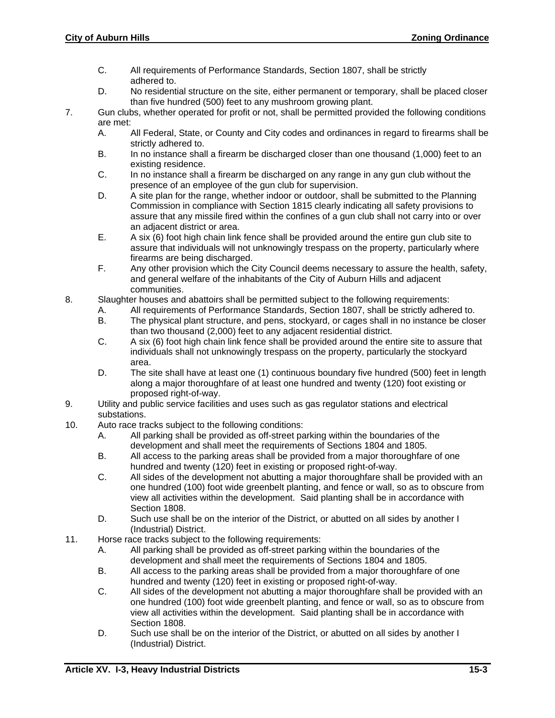- C. All requirements of Performance Standards, Section 1807, shall be strictly adhered to.
- D. No residential structure on the site, either permanent or temporary, shall be placed closer than five hundred (500) feet to any mushroom growing plant.
- 7. Gun clubs, whether operated for profit or not, shall be permitted provided the following conditions are met:
	- A. All Federal, State, or County and City codes and ordinances in regard to firearms shall be strictly adhered to.
	- B. In no instance shall a firearm be discharged closer than one thousand (1,000) feet to an existing residence.
	- C. In no instance shall a firearm be discharged on any range in any gun club without the presence of an employee of the gun club for supervision.
	- D. A site plan for the range, whether indoor or outdoor, shall be submitted to the Planning Commission in compliance with Section 1815 clearly indicating all safety provisions to assure that any missile fired within the confines of a gun club shall not carry into or over an adjacent district or area.
	- E. A six (6) foot high chain link fence shall be provided around the entire gun club site to assure that individuals will not unknowingly trespass on the property, particularly where firearms are being discharged.
	- F. Any other provision which the City Council deems necessary to assure the health, safety, and general welfare of the inhabitants of the City of Auburn Hills and adjacent communities.
- 8. Slaughter houses and abattoirs shall be permitted subject to the following requirements:
	- A. All requirements of Performance Standards, Section 1807, shall be strictly adhered to.<br>B. The physical plant structure, and pens. stockvard, or cages shall in no instance be clos
	- The physical plant structure, and pens, stockyard, or cages shall in no instance be closer than two thousand (2,000) feet to any adjacent residential district.
	- C. A six (6) foot high chain link fence shall be provided around the entire site to assure that individuals shall not unknowingly trespass on the property, particularly the stockyard area.
	- D. The site shall have at least one (1) continuous boundary five hundred (500) feet in length along a major thoroughfare of at least one hundred and twenty (120) foot existing or proposed right-of-way.
- 9. Utility and public service facilities and uses such as gas regulator stations and electrical substations.
- 10. Auto race tracks subject to the following conditions:
	- A. All parking shall be provided as off-street parking within the boundaries of the development and shall meet the requirements of Sections 1804 and 1805.
	- B. All access to the parking areas shall be provided from a major thoroughfare of one hundred and twenty (120) feet in existing or proposed right-of-way.
	- C. All sides of the development not abutting a major thoroughfare shall be provided with an one hundred (100) foot wide greenbelt planting, and fence or wall, so as to obscure from view all activities within the development. Said planting shall be in accordance with Section 1808.
	- D. Such use shall be on the interior of the District, or abutted on all sides by another I (Industrial) District.
- 11. Horse race tracks subject to the following requirements:
	- A. All parking shall be provided as off-street parking within the boundaries of the development and shall meet the requirements of Sections 1804 and 1805.
	- B. All access to the parking areas shall be provided from a major thoroughfare of one hundred and twenty (120) feet in existing or proposed right-of-way.
	- C. All sides of the development not abutting a major thoroughfare shall be provided with an one hundred (100) foot wide greenbelt planting, and fence or wall, so as to obscure from view all activities within the development. Said planting shall be in accordance with Section 1808.
	- D. Such use shall be on the interior of the District, or abutted on all sides by another I (Industrial) District.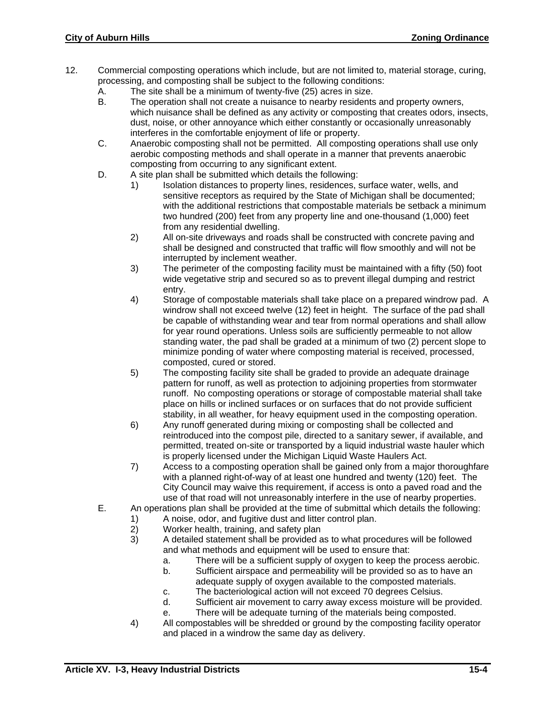- 12. Commercial composting operations which include, but are not limited to, material storage, curing, processing, and composting shall be subject to the following conditions:
	- A. The site shall be a minimum of twenty-five (25) acres in size.
	- B. The operation shall not create a nuisance to nearby residents and property owners, which nuisance shall be defined as any activity or composting that creates odors, insects, dust, noise, or other annoyance which either constantly or occasionally unreasonably interferes in the comfortable enjoyment of life or property.
	- C. Anaerobic composting shall not be permitted. All composting operations shall use only aerobic composting methods and shall operate in a manner that prevents anaerobic composting from occurring to any significant extent.
	- D. A site plan shall be submitted which details the following:
		- 1) Isolation distances to property lines, residences, surface water, wells, and sensitive receptors as required by the State of Michigan shall be documented; with the additional restrictions that compostable materials be setback a minimum two hundred (200) feet from any property line and one-thousand (1,000) feet from any residential dwelling.
		- 2) All on-site driveways and roads shall be constructed with concrete paving and shall be designed and constructed that traffic will flow smoothly and will not be interrupted by inclement weather.
		- 3) The perimeter of the composting facility must be maintained with a fifty (50) foot wide vegetative strip and secured so as to prevent illegal dumping and restrict entry.
		- 4) Storage of compostable materials shall take place on a prepared windrow pad. A windrow shall not exceed twelve (12) feet in height. The surface of the pad shall be capable of withstanding wear and tear from normal operations and shall allow for year round operations. Unless soils are sufficiently permeable to not allow standing water, the pad shall be graded at a minimum of two (2) percent slope to minimize ponding of water where composting material is received, processed, composted, cured or stored.
		- 5) The composting facility site shall be graded to provide an adequate drainage pattern for runoff, as well as protection to adjoining properties from stormwater runoff. No composting operations or storage of compostable material shall take place on hills or inclined surfaces or on surfaces that do not provide sufficient stability, in all weather, for heavy equipment used in the composting operation.
		- 6) Any runoff generated during mixing or composting shall be collected and reintroduced into the compost pile, directed to a sanitary sewer, if available, and permitted, treated on-site or transported by a liquid industrial waste hauler which is properly licensed under the Michigan Liquid Waste Haulers Act.
		- 7) Access to a composting operation shall be gained only from a major thoroughfare with a planned right-of-way of at least one hundred and twenty (120) feet. The City Council may waive this requirement, if access is onto a paved road and the use of that road will not unreasonably interfere in the use of nearby properties.
	- E. An operations plan shall be provided at the time of submittal which details the following:
		- 1) A noise, odor, and fugitive dust and litter control plan.<br>2) Worker health, training, and safety plan
			- 2) Worker health, training, and safety plan<br>3) A detailed statement shall be provided a
			- 3) A detailed statement shall be provided as to what procedures will be followed and what methods and equipment will be used to ensure that:
				- a. There will be a sufficient supply of oxygen to keep the process aerobic.
				- b. Sufficient airspace and permeability will be provided so as to have an adequate supply of oxygen available to the composted materials.
				- c. The bacteriological action will not exceed 70 degrees Celsius.
				- d. Sufficient air movement to carry away excess moisture will be provided.
				- e. There will be adequate turning of the materials being composted.
			- 4) All compostables will be shredded or ground by the composting facility operator and placed in a windrow the same day as delivery.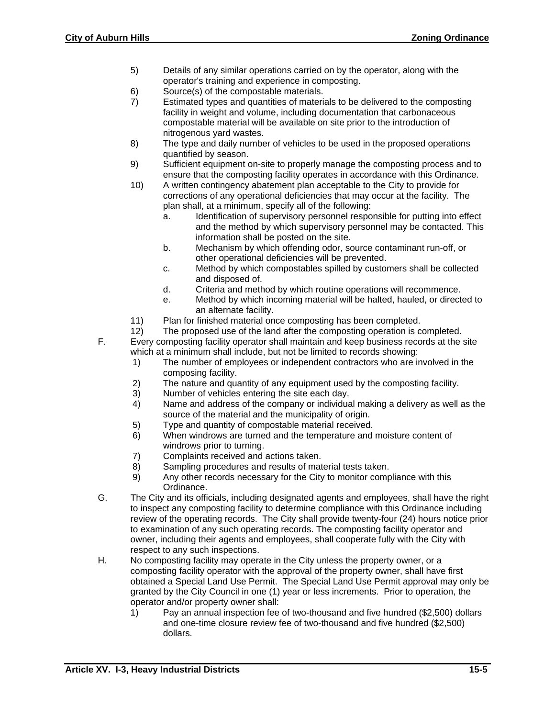- 5) Details of any similar operations carried on by the operator, along with the operator's training and experience in composting.
- 6) Source(s) of the compostable materials.
- 7) Estimated types and quantities of materials to be delivered to the composting facility in weight and volume, including documentation that carbonaceous compostable material will be available on site prior to the introduction of nitrogenous yard wastes.
- 8) The type and daily number of vehicles to be used in the proposed operations quantified by season.
- 9) Sufficient equipment on-site to properly manage the composting process and to ensure that the composting facility operates in accordance with this Ordinance.
- 10) A written contingency abatement plan acceptable to the City to provide for corrections of any operational deficiencies that may occur at the facility. The plan shall, at a minimum, specify all of the following:
	- a. Identification of supervisory personnel responsible for putting into effect and the method by which supervisory personnel may be contacted. This information shall be posted on the site.
	- b. Mechanism by which offending odor, source contaminant run-off, or other operational deficiencies will be prevented.
	- c. Method by which compostables spilled by customers shall be collected and disposed of.
	- d. Criteria and method by which routine operations will recommence.
	- e. Method by which incoming material will be halted, hauled, or directed to an alternate facility.
- 11) Plan for finished material once composting has been completed.
- 12) The proposed use of the land after the composting operation is completed. F. Every composting facility operator shall maintain and keep business records at the site which at a minimum shall include, but not be limited to records showing:
	- 1) The number of employees or independent contractors who are involved in the composing facility.
	- 2) The nature and quantity of any equipment used by the composting facility.
	- 3) Number of vehicles entering the site each day.
	- 4) Name and address of the company or individual making a delivery as well as the source of the material and the municipality of origin.
	- 5) Type and quantity of compostable material received.
	- 6) When windrows are turned and the temperature and moisture content of windrows prior to turning.
	- 7) Complaints received and actions taken.
	- 8) Sampling procedures and results of material tests taken.
	- 9) Any other records necessary for the City to monitor compliance with this Ordinance.
- G. The City and its officials, including designated agents and employees, shall have the right to inspect any composting facility to determine compliance with this Ordinance including review of the operating records. The City shall provide twenty-four (24) hours notice prior to examination of any such operating records. The composting facility operator and owner, including their agents and employees, shall cooperate fully with the City with respect to any such inspections.
- H. No composting facility may operate in the City unless the property owner, or a composting facility operator with the approval of the property owner, shall have first obtained a Special Land Use Permit. The Special Land Use Permit approval may only be granted by the City Council in one (1) year or less increments. Prior to operation, the operator and/or property owner shall:
	- 1) Pay an annual inspection fee of two-thousand and five hundred (\$2,500) dollars and one-time closure review fee of two-thousand and five hundred (\$2,500) dollars.